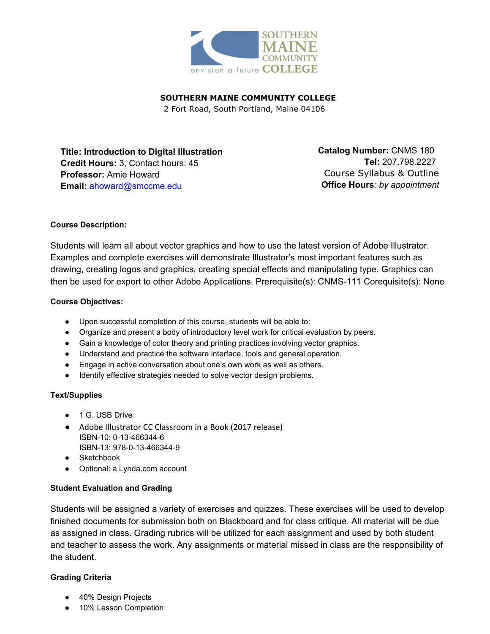

**SOUTHERN MAINE COMMUNITY COLLEGE**

2 Fort Road, South Portland, Maine 04106

**Title: Introduction to Digital Illustration Credit Hours:** 3, Contact hours: 45 **Professor:** Amie Howard **Email:** [ahoward@smccme.edu](mailto:ahoward@smccme.edu)

**Catalog Number: CNMS 180 Tel:** 207.798.2227 Course Syllabus & Outline **Office Hours***: by appointment*

## **Course Description:**

Students will learn all about vector graphics and how to use the latest version of Adobe Illustrator. Examples and complete exercises will demonstrate Illustrator's most important features such as drawing, creating logos and graphics, creating special effects and manipulating type. Graphics can then be used for export to other Adobe Applications. Prerequisite(s): CNMS-111 Corequisite(s): None

### **Course Objectives:**

- Upon successful completion of this course, students will be able to:
- Organize and present a body of introductory level work for critical evaluation by peers.
- Gain a knowledge of color theory and printing practices involving vector graphics.
- Understand and practice the software interface, tools and general operation.
- Engage in active conversation about one's own work as well as others.
- Identify effective strategies needed to solve vector design problems.

### **Text/Supplies**

- 1 G. USB Drive
- Adobe Illustrator CC Classroom in a Book (2017 release) ISBN-10: 0-13-466344-6 ISBN-13: 978-0-13-466344-9
- Sketchbook
- Optional: a Lynda.com account

# **Student Evaluation and Grading**

Students will be assigned a variety of exercises and quizzes. These exercises will be used to develop finished documents for submission both on Blackboard and for class critique. All material will be due as assigned in class. Grading rubrics will be utilized for each assignment and used by both student and teacher to assess the work. Any assignments or material missed in class are the responsibility of the student.

# **Grading Criteria**

- 40% Design Projects
- 10% Lesson Completion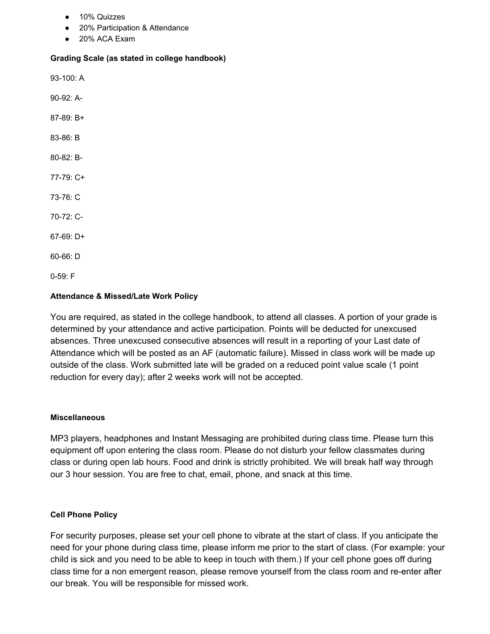- 10% Quizzes
- 20% Participation & Attendance
- 20% ACA Exam

#### **Grading Scale (as stated in college handbook)**

93-100: A 90-92: A-87-89: B+

- 83-86: B
- 80-82: B-
- 77-79: C+
- 73-76: C
- 70-72: C-
- 67-69: D+
- 60-66: D

0-59: F

### **Attendance & Missed/Late Work Policy**

You are required, as stated in the college handbook, to attend all classes. A portion of your grade is determined by your attendance and active participation. Points will be deducted for unexcused absences. Three unexcused consecutive absences will result in a reporting of your Last date of Attendance which will be posted as an AF (automatic failure). Missed in class work will be made up outside of the class. Work submitted late will be graded on a reduced point value scale (1 point reduction for every day); after 2 weeks work will not be accepted.

#### **Miscellaneous**

MP3 players, headphones and Instant Messaging are prohibited during class time. Please turn this equipment off upon entering the class room. Please do not disturb your fellow classmates during class or during open lab hours. Food and drink is strictly prohibited. We will break half way through our 3 hour session. You are free to chat, email, phone, and snack at this time.

### **Cell Phone Policy**

For security purposes, please set your cell phone to vibrate at the start of class. If you anticipate the need for your phone during class time, please inform me prior to the start of class. (For example: your child is sick and you need to be able to keep in touch with them.) If your cell phone goes off during class time for a non emergent reason, please remove yourself from the class room and re-enter after our break. You will be responsible for missed work.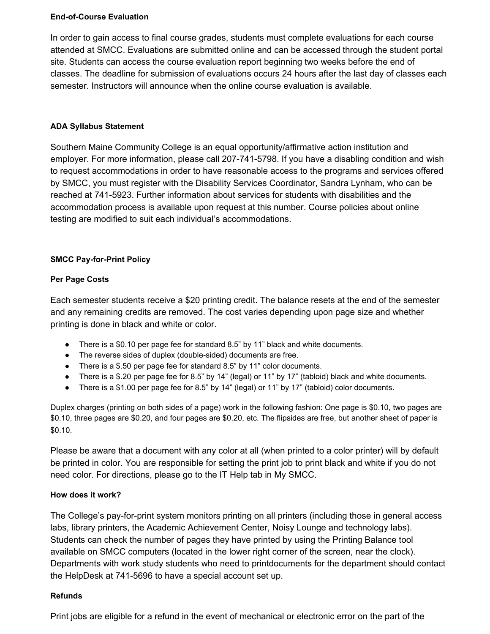## **End-of-Course Evaluation**

In order to gain access to final course grades, students must complete evaluations for each course attended at SMCC. Evaluations are submitted online and can be accessed through the student portal site. Students can access the course evaluation report beginning two weeks before the end of classes. The deadline for submission of evaluations occurs 24 hours after the last day of classes each semester. Instructors will announce when the online course evaluation is available.

# **ADA Syllabus Statement**

Southern Maine Community College is an equal opportunity/affirmative action institution and employer. For more information, please call 207-741-5798. If you have a disabling condition and wish to request accommodations in order to have reasonable access to the programs and services offered by SMCC, you must register with the Disability Services Coordinator, Sandra Lynham, who can be reached at 741-5923. Further information about services for students with disabilities and the accommodation process is available upon request at this number. Course policies about online testing are modified to suit each individual's accommodations.

# **SMCC Pay-for-Print Policy**

# **Per Page Costs**

Each semester students receive a \$20 printing credit. The balance resets at the end of the semester and any remaining credits are removed. The cost varies depending upon page size and whether printing is done in black and white or color.

- There is a \$0.10 per page fee for standard 8.5" by 11" black and white documents.
- The reverse sides of duplex (double-sided) documents are free.
- There is a \$.50 per page fee for standard 8.5" by 11" color documents.
- There is a \$.20 per page fee for 8.5" by 14" (legal) or 11" by 17" (tabloid) black and white documents.
- There is a \$1.00 per page fee for 8.5" by 14" (legal) or 11" by 17" (tabloid) color documents.

Duplex charges (printing on both sides of a page) work in the following fashion: One page is \$0.10, two pages are \$0.10, three pages are \$0.20, and four pages are \$0.20, etc. The flipsides are free, but another sheet of paper is \$0.10.

Please be aware that a document with any color at all (when printed to a color printer) will by default be printed in color. You are responsible for setting the print job to print black and white if you do not need color. For directions, please go to the IT Help tab in My SMCC.

# **How does it work?**

The College's pay-for-print system monitors printing on all printers (including those in general access labs, library printers, the Academic Achievement Center, Noisy Lounge and technology labs). Students can check the number of pages they have printed by using the Printing Balance tool available on SMCC computers (located in the lower right corner of the screen, near the clock). Departments with work study students who need to printdocuments for the department should contact the HelpDesk at 741-5696 to have a special account set up.

# **Refunds**

Print jobs are eligible for a refund in the event of mechanical or electronic error on the part of the